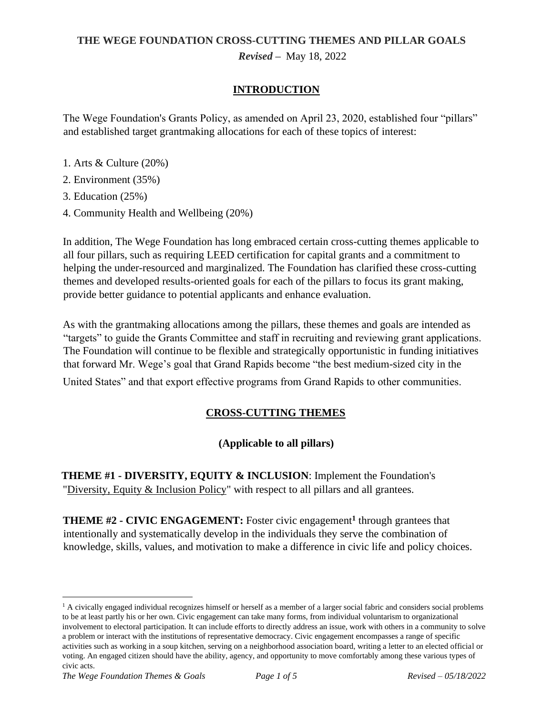# **THE WEGE FOUNDATION CROSS-CUTTING THEMES AND PILLAR GOALS** *Revised –* May 18, 2022

### **INTRODUCTION**

The Wege Foundation's Grants Policy, as amended on April 23, 2020, established four "pillars" and established target grantmaking allocations for each of these topics of interest:

- 1. Arts & Culture (20%)
- 2. Environment (35%)
- 3. Education (25%)
- 4. Community Health and Wellbeing (20%)

In addition, The Wege Foundation has long embraced certain cross-cutting themes applicable to all four pillars, such as requiring LEED certification for capital grants and a commitment to helping the under-resourced and marginalized. The Foundation has clarified these cross-cutting themes and developed results-oriented goals for each of the pillars to focus its grant making, provide better guidance to potential applicants and enhance evaluation.

As with the grantmaking allocations among the pillars, these themes and goals are intended as "targets" to guide the Grants Committee and staff in recruiting and reviewing grant applications. The Foundation will continue to be flexible and strategically opportunistic in funding initiatives that forward Mr. Wege's goal that Grand Rapids become "the best medium-sized city in the

United States" and that export effective programs from Grand Rapids to other communities.

### **CROSS-CUTTING THEMES**

### **(Applicable to all pillars)**

**THEME #1 - DIVERSITY, EQUITY & INCLUSION**: Implement the Foundation's ["Diversity, Equity & Inclusion](http://www.wegefoundation.com/wp-content/uploads/2017/04/Wege-Fdn-DEI-Policy-final-2017-04-12.pdf) [Policy"](http://www.wegefoundation.com/wp-content/uploads/2017/04/Wege-Fdn-DEI-Policy-final-2017-04-12.pdf) [with](http://www.wegefoundation.com/wp-content/uploads/2017/04/Wege-Fdn-DEI-Policy-final-2017-04-12.pdf) [res](http://www.wegefoundation.com/wp-content/uploads/2017/04/Wege-Fdn-DEI-Policy-final-2017-04-12.pdf)pect to all pillars and all grantees.

**THEME #2 - CIVIC ENGAGEMENT:** Foster civic engagement**<sup>1</sup>** through grantees that intentionally and systematically develop in the individuals they serve the combination of knowledge, skills, values, and motivation to make a difference in civic life and policy choices.

 $<sup>1</sup>$  A civically engaged individual recognizes himself or herself as a member of a larger social fabric and considers social problems</sup> to be at least partly his or her own. Civic engagement can take many forms, from individual voluntarism to organizational involvement to electoral participation. It can include efforts to directly address an issue, work with others in a community to solve a problem or interact with the institutions of representative democracy. Civic engagement encompasses a range of specific activities such as working in a soup kitchen, serving on a neighborhood association board, writing a letter to an elected official or voting. An engaged citizen should have the ability, agency, and opportunity to move comfortably among these various types of civic acts.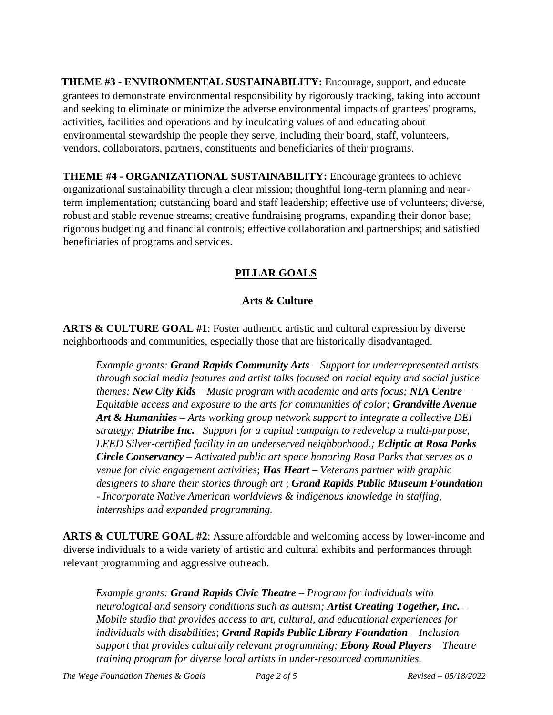**THEME #3 - ENVIRONMENTAL SUSTAINABILITY:** Encourage, support, and educate grantees to demonstrate environmental responsibility by rigorously tracking, taking into account and seeking to eliminate or minimize the adverse environmental impacts of grantees' programs, activities, facilities and operations and by inculcating values of and educating about environmental stewardship the people they serve, including their board, staff, volunteers, vendors, collaborators, partners, constituents and beneficiaries of their programs.

**THEME #4 - ORGANIZATIONAL SUSTAINABILITY:** Encourage grantees to achieve organizational sustainability through a clear mission; thoughtful long-term planning and nearterm implementation; outstanding board and staff leadership; effective use of volunteers; diverse, robust and stable revenue streams; creative fundraising programs, expanding their donor base; rigorous budgeting and financial controls; effective collaboration and partnerships; and satisfied beneficiaries of programs and services.

## **PILLAR GOALS**

### **Arts & Culture**

**ARTS & CULTURE GOAL #1**: Foster authentic artistic and cultural expression by diverse neighborhoods and communities, especially those that are historically disadvantaged.

*Example grants: Grand Rapids Community Arts – Support for underrepresented artists through social media features and artist talks focused on racial equity and social justice themes; New City Kids – Music program with academic and arts focus; NIA Centre – Equitable access and exposure to the arts for communities of color; Grandville Avenue Art & Humanities – Arts working group network support to integrate a collective DEI strategy; Diatribe Inc.* –*Support for a capital campaign to redevelop a multi-purpose, LEED Silver-certified facility in an underserved neighborhood.; Ecliptic at Rosa Parks Circle Conservancy – Activated public art space honoring Rosa Parks that serves as a venue for civic engagement activities*; *Has Heart – Veterans partner with graphic designers to share their stories through art* ; *Grand Rapids Public Museum Foundation - Incorporate Native American worldviews & indigenous knowledge in staffing, internships and expanded programming.* 

**ARTS & CULTURE GOAL #2**: Assure affordable and welcoming access by lower-income and diverse individuals to a wide variety of artistic and cultural exhibits and performances through relevant programming and aggressive outreach.

*Example grants: Grand Rapids Civic Theatre – Program for individuals with neurological and sensory conditions such as autism; Artist Creating Together, Inc. – Mobile studio that provides access to art, cultural, and educational experiences for individuals with disabilities*; *Grand Rapids Public Library Foundation – Inclusion support that provides culturally relevant programming; Ebony Road Players – Theatre training program for diverse local artists in under-resourced communities.*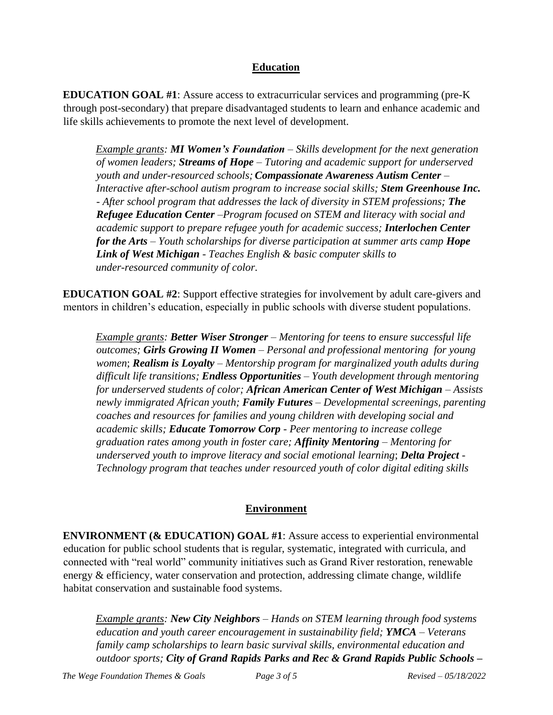### **Education**

**EDUCATION GOAL #1**: Assure access to extracurricular services and programming (pre-K through post-secondary) that prepare disadvantaged students to learn and enhance academic and life skills achievements to promote the next level of development.

*Example grants: MI Women's Foundation – Skills development for the next generation of women leaders; Streams of Hope – Tutoring and academic support for underserved youth and under-resourced schools; Compassionate Awareness Autism Center – Interactive after-school autism program to increase social skills; Stem Greenhouse Inc. - After school program that addresses the lack of diversity in STEM professions; The Refugee Education Center –Program focused on STEM and literacy with social and academic support to prepare refugee youth for academic success; Interlochen Center for the Arts – Youth scholarships for diverse participation at summer arts camp Hope Link of West Michigan* - *Teaches English & basic computer skills to under-resourced community of color.*

**EDUCATION GOAL #2**: Support effective strategies for involvement by adult care-givers and mentors in children's education, especially in public schools with diverse student populations.

*Example grants: Better Wiser Stronger – Mentoring for teens to ensure successful life outcomes; Girls Growing II Women – Personal and professional mentoring for young women*; *Realism is Loyalty* – *Mentorship program for marginalized youth adults during difficult life transitions; Endless Opportunities – Youth development through mentoring for underserved students of color; African American Center of West Michigan – Assists newly immigrated African youth; Family Futures – Developmental screenings, parenting coaches and resources for families and young children with developing social and academic skills; Educate Tomorrow Corp - Peer mentoring to increase college graduation rates among youth in foster care; Affinity Mentoring – Mentoring for underserved youth to improve literacy and social emotional learning*; *Delta Project - Technology program that teaches under resourced youth of color digital editing skills*

### **Environment**

**ENVIRONMENT (& EDUCATION) GOAL #1**: Assure access to experiential environmental education for public school students that is regular, systematic, integrated with curricula, and connected with "real world" community initiatives such as Grand River restoration, renewable energy & efficiency, water conservation and protection, addressing climate change, wildlife habitat conservation and sustainable food systems.

*Example grants: New City Neighbors – Hands on STEM learning through food systems education and youth career encouragement in sustainability field; YMCA – Veterans family camp scholarships to learn basic survival skills, environmental education and outdoor sports; City of Grand Rapids Parks and Rec & Grand Rapids Public Schools –*

*The Wege Foundation Themes & Goals Page 3 of 5 Revised – 05/18/2022*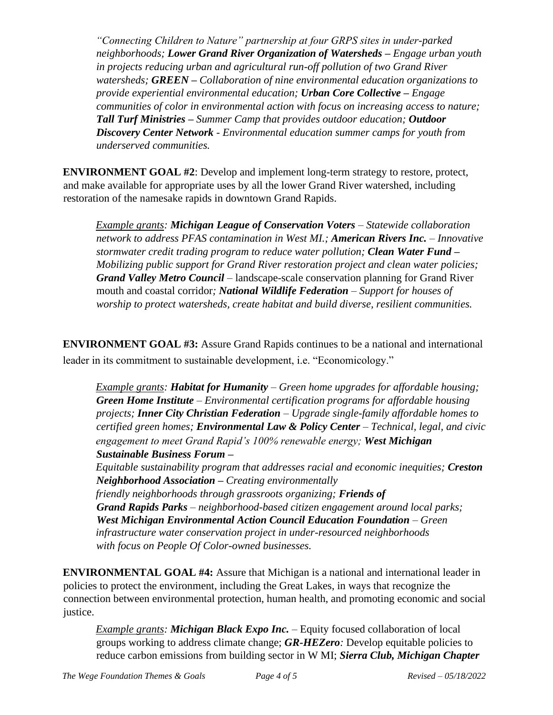*"Connecting Children to Nature" partnership at four GRPS sites in under-parked neighborhoods; Lower Grand River Organization of Watersheds – Engage urban youth in projects reducing urban and agricultural run-off pollution of two Grand River watersheds; GREEN – Collaboration of nine environmental education organizations to provide experiential environmental education; Urban Core Collective – Engage communities of color in environmental action with focus on increasing access to nature; Tall Turf Ministries – Summer Camp that provides outdoor education; Outdoor Discovery Center Network - Environmental education summer camps for youth from underserved communities.* 

**ENVIRONMENT GOAL #2**: Develop and implement long-term strategy to restore, protect, and make available for appropriate uses by all the lower Grand River watershed, including restoration of the namesake rapids in downtown Grand Rapids.

*Example grants: Michigan League of Conservation Voters – Statewide collaboration network to address PFAS contamination in West MI.; American Rivers Inc. – Innovative stormwater credit trading program to reduce water pollution; Clean Water Fund – Mobilizing public support for Grand River restoration project and clean water policies; Grand Valley Metro Council* – landscape-scale conservation planning for Grand River mouth and coastal corridor*; National Wildlife Federation – Support for houses of worship to protect watersheds, create habitat and build diverse, resilient communities.* 

**ENVIRONMENT GOAL #3:** Assure Grand Rapids continues to be a national and international leader in its commitment to sustainable development, i.e. "Economicology."

*Example grants: Habitat for Humanity – Green home upgrades for affordable housing; Green Home Institute – Environmental certification programs for affordable housing projects; Inner City Christian Federation – Upgrade single-family affordable homes to certified green homes; Environmental Law & Policy Center – Technical, legal, and civic engagement to meet Grand Rapid's 100% renewable energy; West Michigan Sustainable Business Forum – Equitable sustainability program that addresses racial and economic inequities; Creston* 

*Neighborhood Association – Creating environmentally friendly neighborhoods through grassroots organizing; Friends of Grand Rapids Parks – neighborhood-based citizen engagement around local parks; West Michigan Environmental Action Council Education Foundation – Green infrastructure water conservation project in under-resourced neighborhoods with focus on People Of Color-owned businesses.*

**ENVIRONMENTAL GOAL #4:** Assure that Michigan is a national and international leader in policies to protect the environment, including the Great Lakes, in ways that recognize the connection between environmental protection, human health, and promoting economic and social

*Example grants: Michigan Black Expo Inc. –* Equity focused collaboration of local groups working to address climate change; *GR-HEZero:* Develop equitable policies to reduce carbon emissions from building sector in W MI; *Sierra Club, Michigan Chapter*

justice.